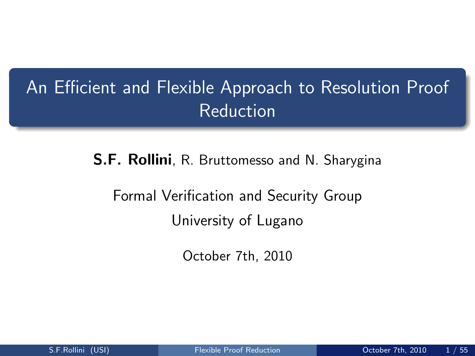# An Efficient and Flexible Approach to Resolution Proof Reduction

S.F. Rollini, R. Bruttomesso and N. Sharygina

Formal Verification and Security Group University of Lugano

<span id="page-0-0"></span>October 7th, 2010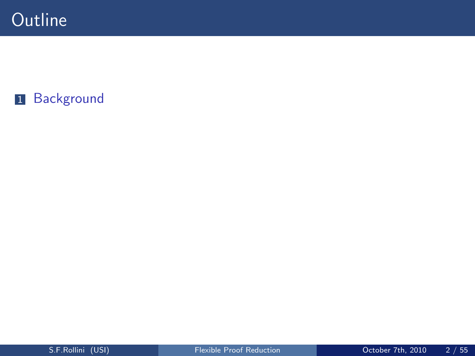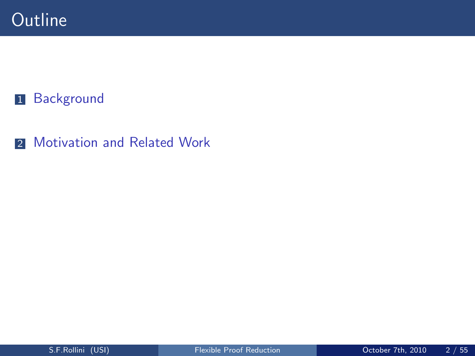2 [Motivation and Related Work](#page-23-0)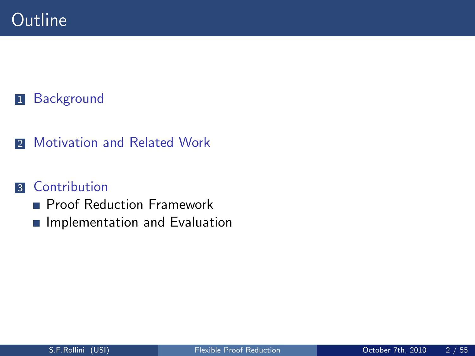**2** [Motivation and Related Work](#page-23-0)

### **3** [Contribution](#page-49-0)

- **[Proof Reduction Framework](#page-50-0)**
- **[Implementation and Evaluation](#page-81-0)**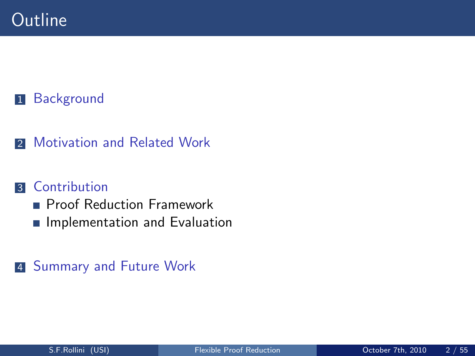**2** [Motivation and Related Work](#page-23-0)

#### 3 [Contribution](#page-49-0)

- **[Proof Reduction Framework](#page-50-0)**
- **[Implementation and Evaluation](#page-81-0)**
- 4 [Summary and Future Work](#page-98-0)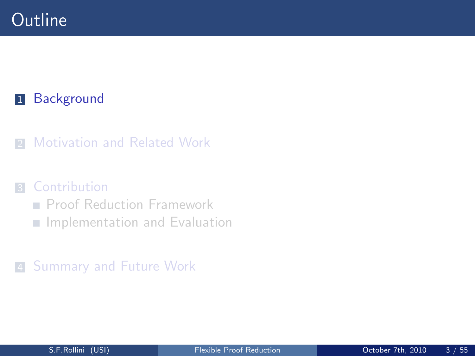#### 2 [Motivation and Related Work](#page-23-0)

#### **3** [Contribution](#page-49-0)

- **[Proof Reduction Framework](#page-50-0)**
- <span id="page-5-0"></span>**[Implementation and Evaluation](#page-81-0)**

### 4 [Summary and Future Work](#page-98-0)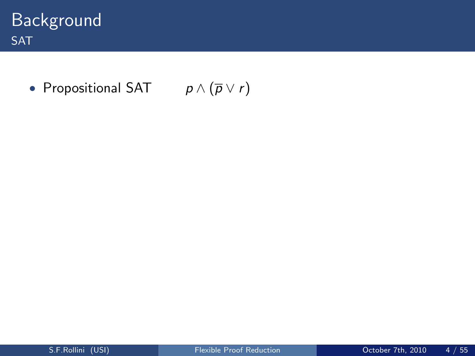# • Propositional SAT  $p \wedge (\overline{p} \vee r)$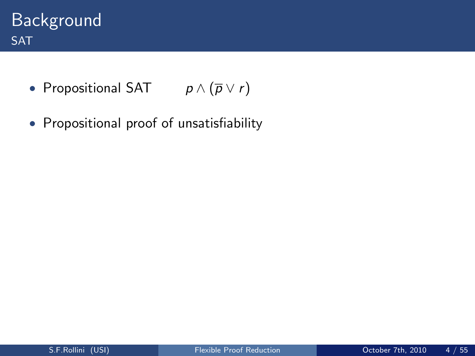- Propositional SAT  $p \wedge (\overline{p} \vee r)$
- Propositional proof of unsatisfiability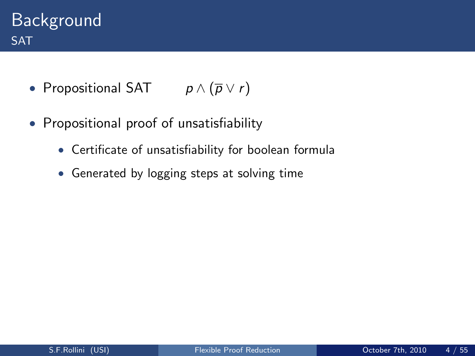- Propositional SAT  $p \wedge (\overline{p} \vee r)$
- Propositional proof of unsatisfiability
	- Certificate of unsatisfiability for boolean formula
	- Generated by logging steps at solving time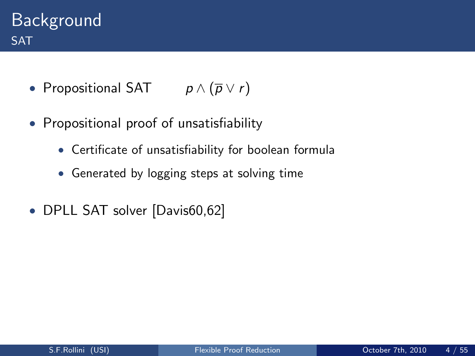- Propositional SAT  $p \wedge (\overline{p} \vee r)$
- Propositional proof of unsatisfiability
	- Certificate of unsatisfiability for boolean formula
	- Generated by logging steps at solving time
- DPLL SAT solver [Davis60,62]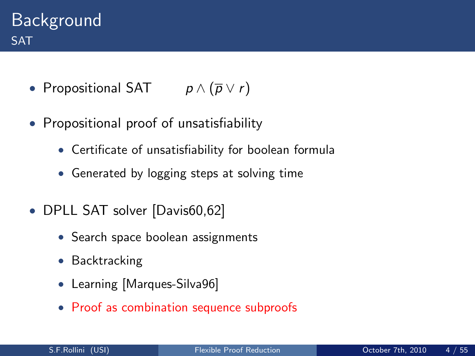- Propositional SAT  $p \wedge (\overline{p} \vee r)$
- Propositional proof of unsatisfiability
	- Certificate of unsatisfiability for boolean formula
	- Generated by logging steps at solving time
- DPLL SAT solver [Davis60,62]
	- Search space boolean assignments
	- Backtracking
	- Learning [Marques-Silva96]
	- Proof as combination sequence subproofs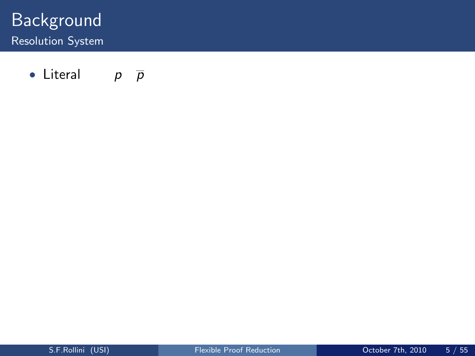• Literal  $p \bar{p}$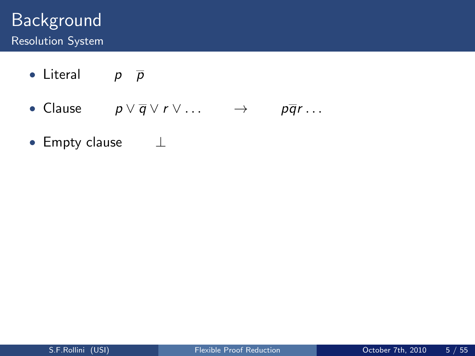- Literal  $p \bar{p}$
- Clause  $p \vee \overline{q} \vee r \vee \ldots \longrightarrow p\overline{q}r \ldots$
- Empty clause ⊥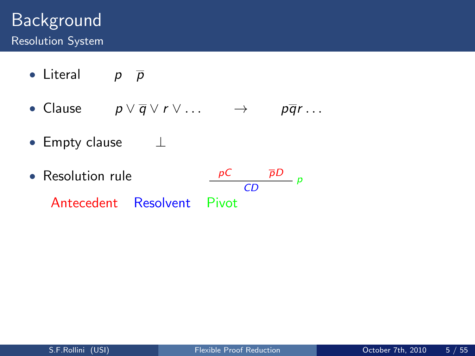- Literal  $p \bar{p}$
- Clause  $p \vee \overline{q} \vee r \vee \ldots \longrightarrow p\overline{q}r \ldots$
- Empty clause ⊥
- $\bullet$  Resolution rule  $pC \frac{\overline{p}D}{\sqrt{p}} p$  $CD$ Antecedent Resolvent Pivot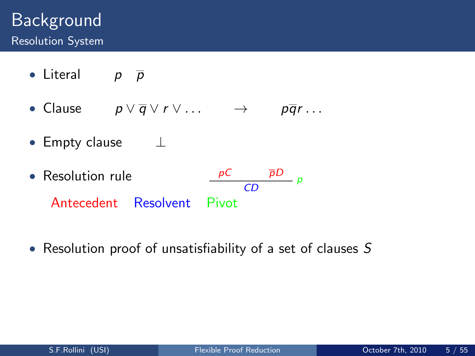- Literal  $p \bar{p}$
- Clause  $p \vee \overline{q} \vee r \vee \ldots \longrightarrow p\overline{q}r \ldots$
- Empty clause ⊥
- $\bullet$  Resolution rule  $pC$   $\overline{p}D$   $p$  $CD$ Antecedent Resolvent Pivot
- Resolution proof of unsatisfiability of a set of clauses S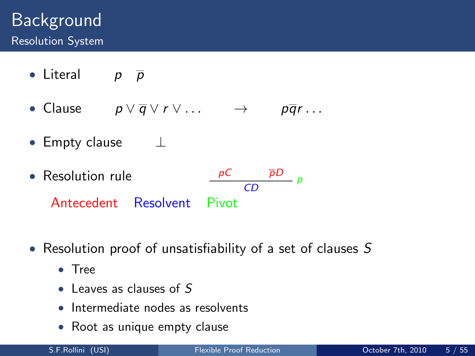- Literal  $p \bar{p}$
- Clause  $p \vee \overline{q} \vee r \vee \ldots \longrightarrow p\overline{q}r \ldots$
- Empty clause ⊥
- $\bullet$  Resolution rule  $pC \frac{\overline{p}D}{\rho}$ CD Antecedent Resolvent Pivot
- Resolution proof of unsatisfiability of a set of clauses S
	- Tree
	- Leaves as clauses of S
	- Intermediate nodes as resolvents
	- Root as unique empty clause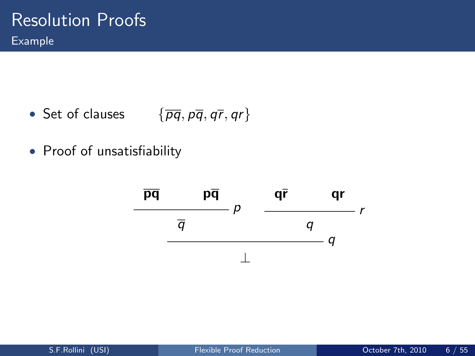• Set of clauses  $\{\overline{pq}, p\overline{q}, q\overline{r}, qr\}$ 

• Proof of unsatisfiability

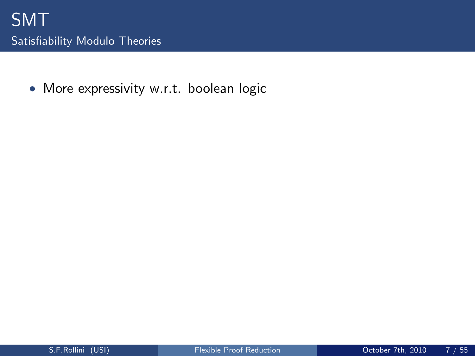• More expressivity w.r.t. boolean logic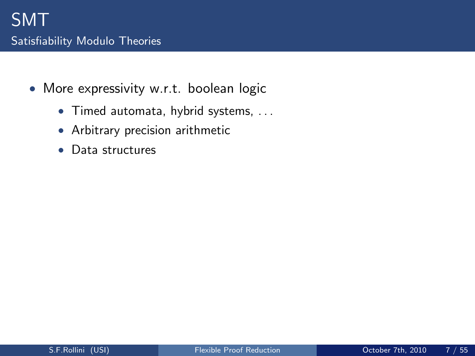- More expressivity w.r.t. boolean logic
	- Timed automata, hybrid systems, . . .
	- Arbitrary precision arithmetic
	- Data structures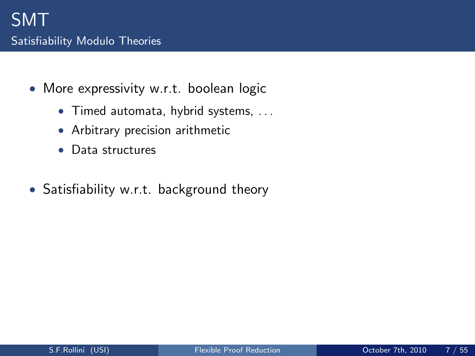- More expressivity w.r.t. boolean logic
	- Timed automata, hybrid systems, . . .
	- Arbitrary precision arithmetic
	- Data structures
- Satisfiability w.r.t. background theory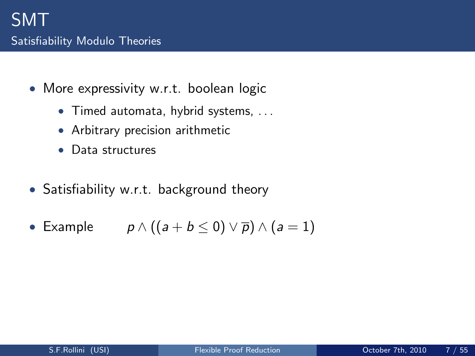- More expressivity w.r.t. boolean logic
	- Timed automata, hybrid systems, . . .
	- Arbitrary precision arithmetic
	- Data structures
- Satisfiability w.r.t. background theory
- Example  $p \wedge ((a + b \le 0) \vee \overline{p}) \wedge (a = 1)$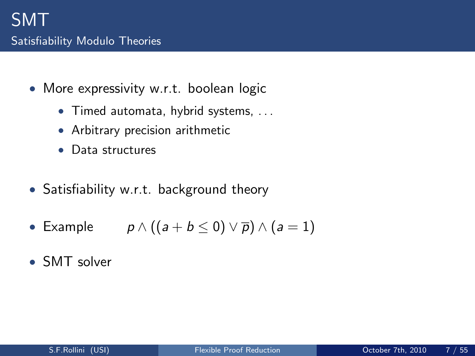- More expressivity w.r.t. boolean logic
	- Timed automata, hybrid systems, . . .
	- Arbitrary precision arithmetic
	- Data structures
- Satisfiability w.r.t. background theory
- Example  $p \wedge ((a + b \le 0) \vee \overline{p}) \wedge (a = 1)$
- SMT solver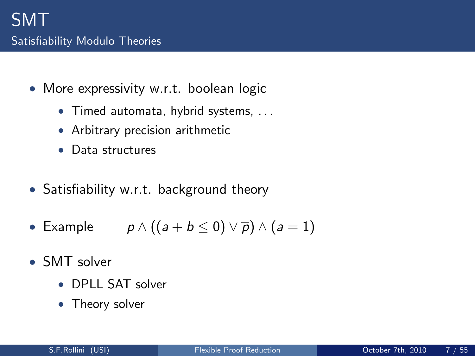- More expressivity w.r.t. boolean logic
	- Timed automata, hybrid systems, . . .
	- Arbitrary precision arithmetic
	- Data structures
- Satisfiability w.r.t. background theory
- Example  $p \wedge ((a + b \le 0) \vee \overline{p}) \wedge (a = 1)$
- SMT solver
	- DPLL SAT solver
	- Theory solver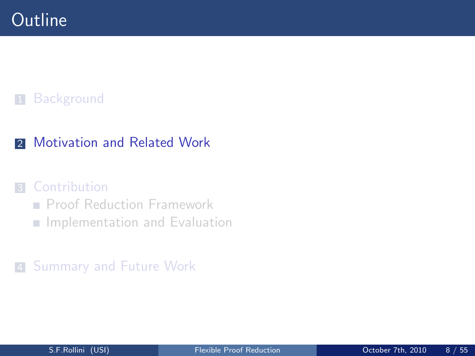### **2** [Motivation and Related Work](#page-23-0)

#### **3** [Contribution](#page-49-0)

- **[Proof Reduction Framework](#page-50-0)**
- <span id="page-23-0"></span>**[Implementation and Evaluation](#page-81-0)**

### 4 [Summary and Future Work](#page-98-0)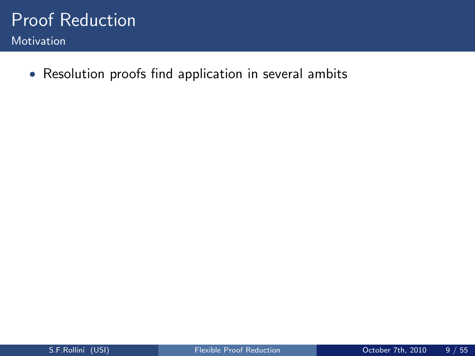

• Resolution proofs find application in several ambits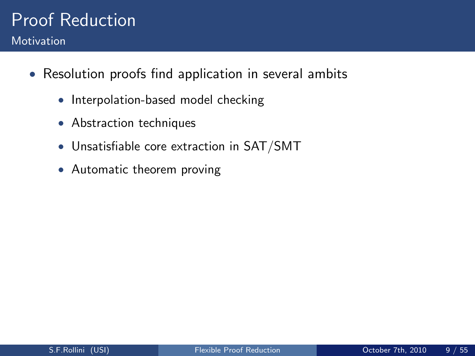- Resolution proofs find application in several ambits
	- Interpolation-based model checking
	- Abstraction techniques
	- Unsatisfiable core extraction in SAT/SMT
	- Automatic theorem proving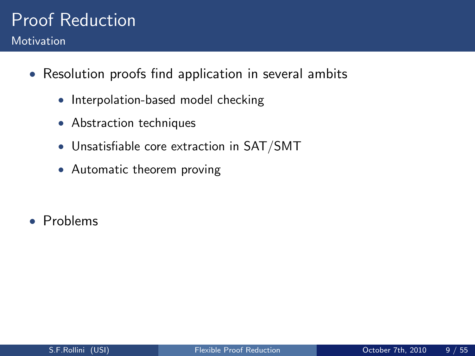- Resolution proofs find application in several ambits
	- Interpolation-based model checking
	- Abstraction techniques
	- Unsatisfiable core extraction in SAT/SMT
	- Automatic theorem proving

• Problems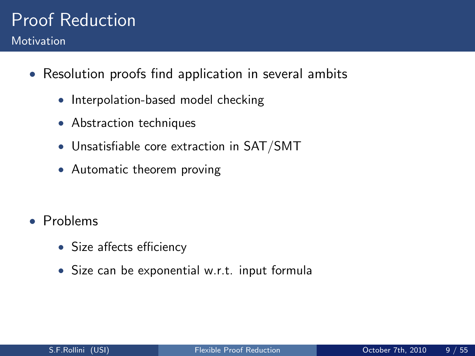- Resolution proofs find application in several ambits
	- Interpolation-based model checking
	- Abstraction techniques
	- Unsatisfiable core extraction in SAT/SMT
	- Automatic theorem proving

- Problems
	- Size affects efficiency
	- Size can be exponential w.r.t. input formula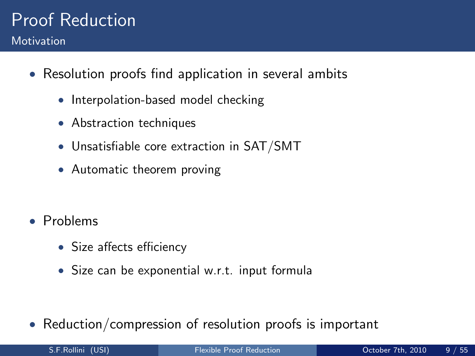- Resolution proofs find application in several ambits
	- Interpolation-based model checking
	- Abstraction techniques
	- Unsatisfiable core extraction in SAT/SMT
	- Automatic theorem proving

- Problems
	- Size affects efficiency
	- Size can be exponential w.r.t. input formula

• Reduction/compression of resolution proofs is important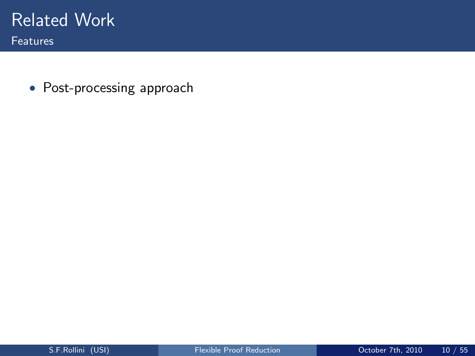

• Post-processing approach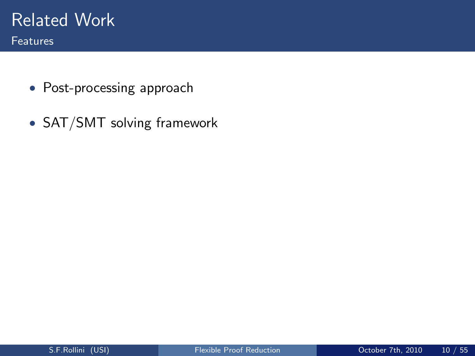- Post-processing approach
- SAT/SMT solving framework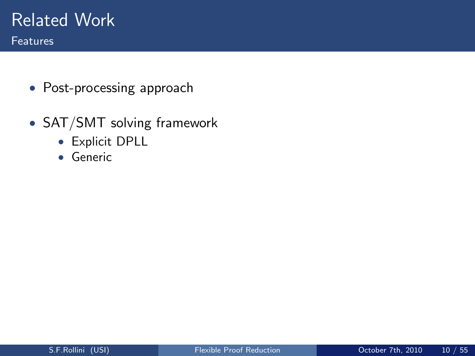- Post-processing approach
- SAT/SMT solving framework
	- Explicit DPLL
	- Generic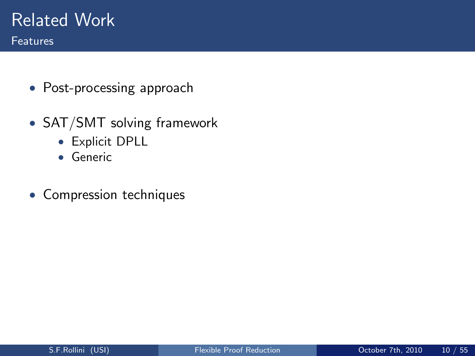- Post-processing approach
- SAT/SMT solving framework
	- Explicit DPLL
	- Generic
- Compression techniques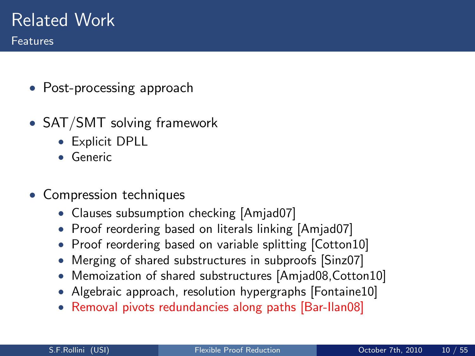- Post-processing approach
- SAT/SMT solving framework
	- Explicit DPLL
	- Generic
- Compression techniques
	- Clauses subsumption checking [Amjad07]
	- Proof reordering based on literals linking [Amjad07]
	- Proof reordering based on variable splitting [Cotton10]
	- Merging of shared substructures in subproofs [Sinz07]
	- Memoization of shared substructures [Amjad08,Cotton10]
	- Algebraic approach, resolution hypergraphs [Fontaine10]
	- Removal pivots redundancies along paths [Bar-Ilan08]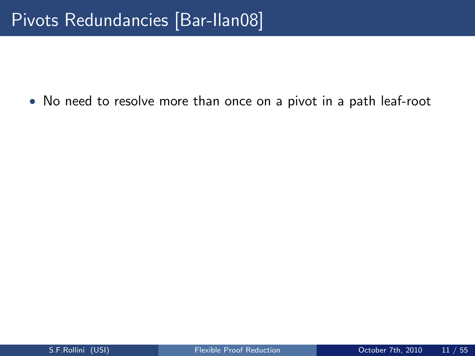• No need to resolve more than once on a pivot in a path leaf-root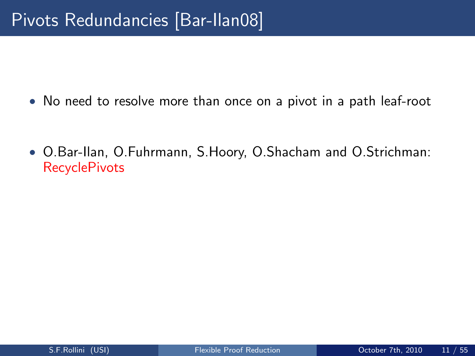- No need to resolve more than once on a pivot in a path leaf-root
- O.Bar-Ilan, O.Fuhrmann, S.Hoory, O.Shacham and O.Strichman: **RecyclePivots**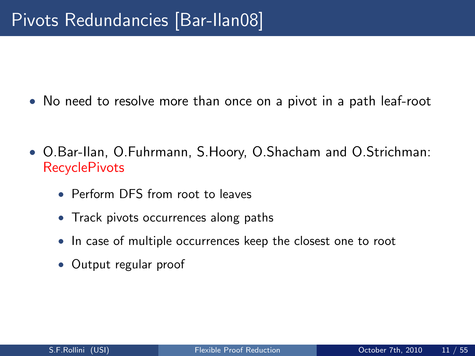- No need to resolve more than once on a pivot in a path leaf-root
- O.Bar-Ilan, O.Fuhrmann, S.Hoory, O.Shacham and O.Strichman: **RecyclePivots** 
	- Perform DFS from root to leaves
	- Track pivots occurrences along paths
	- In case of multiple occurrences keep the closest one to root
	- Output regular proof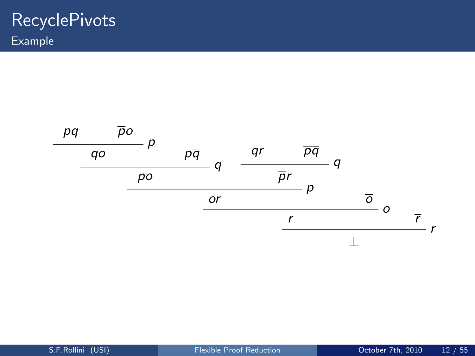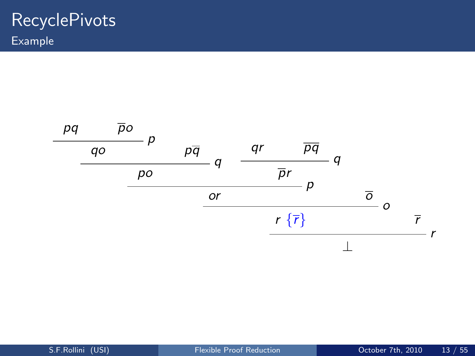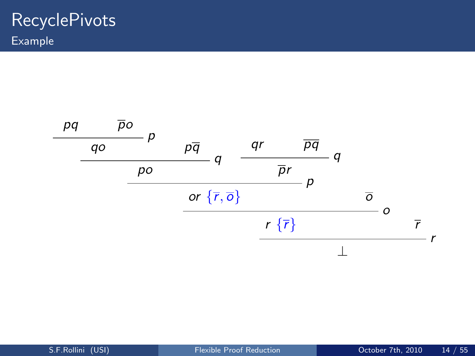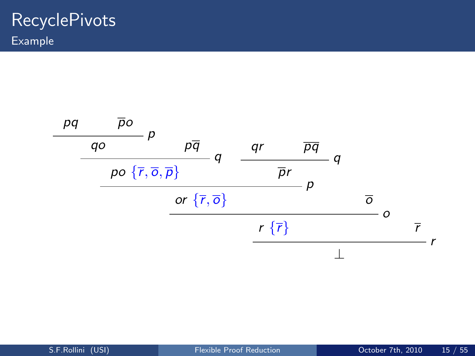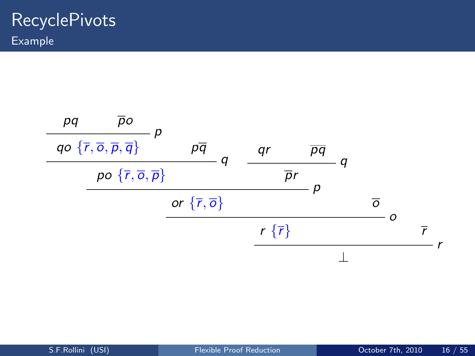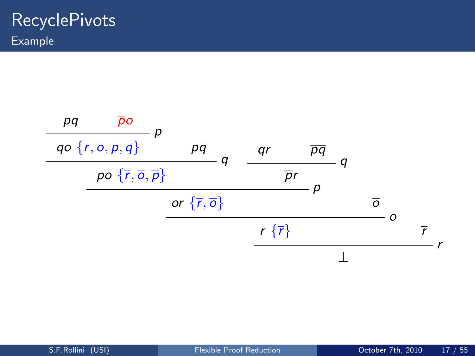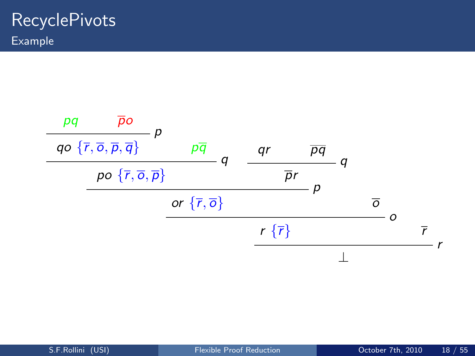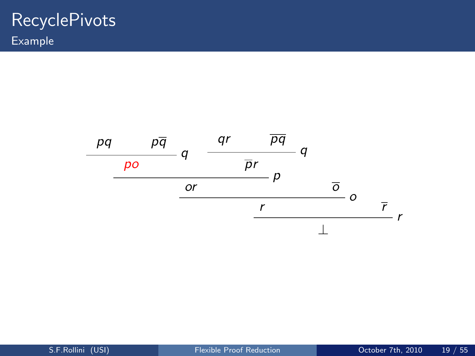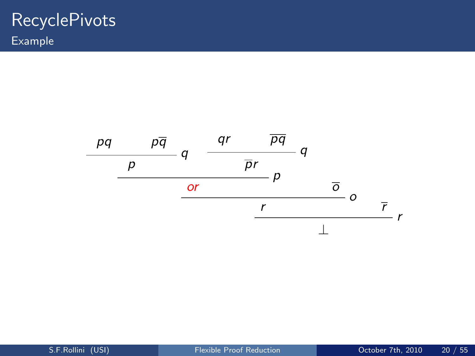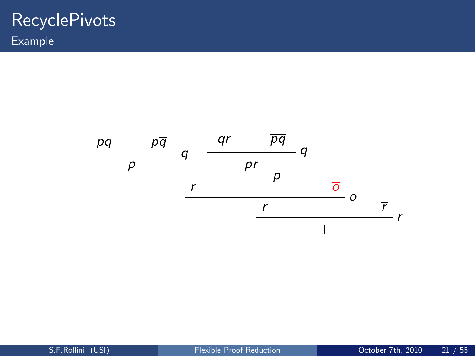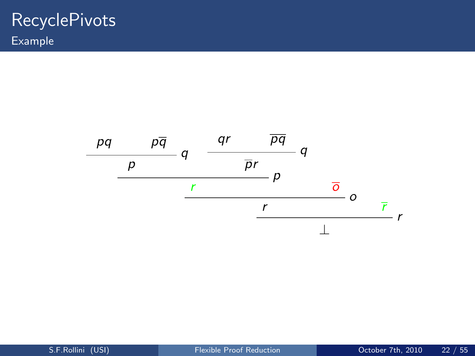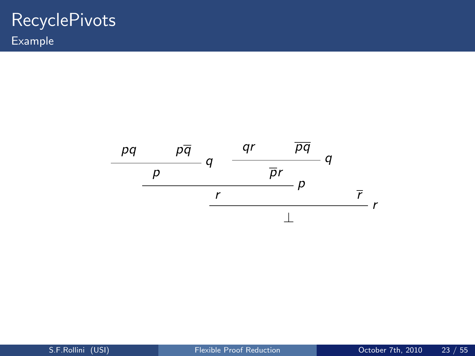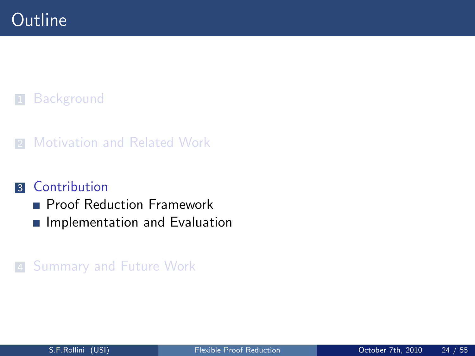#### **1** [Background](#page-5-0)

#### 2 [Motivation and Related Work](#page-23-0)

#### **3** [Contribution](#page-49-0)

- **[Proof Reduction Framework](#page-50-0)**
- <span id="page-49-0"></span>**[Implementation and Evaluation](#page-81-0)**

#### 4 [Summary and Future Work](#page-98-0)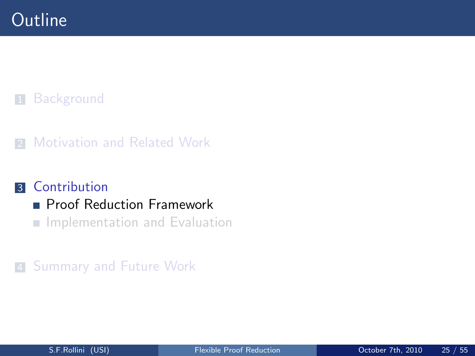#### **1** [Background](#page-5-0)

#### 2 [Motivation and Related Work](#page-23-0)

#### **3** [Contribution](#page-49-0)

- **[Proof Reduction Framework](#page-50-0)**
- <span id="page-50-0"></span>**[Implementation and Evaluation](#page-81-0)**

#### 4 [Summary and Future Work](#page-98-0)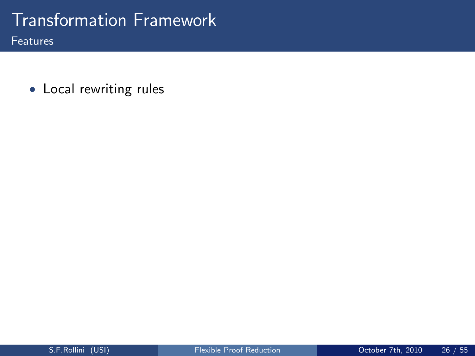Features

• Local rewriting rules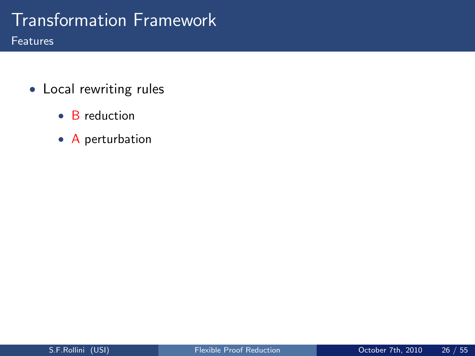#### Features

- Local rewriting rules
	- **B** reduction
	- A perturbation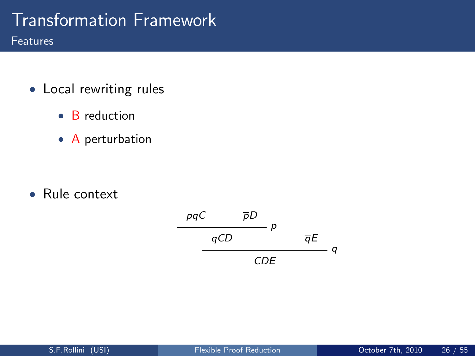#### Features

- Local rewriting rules
	- **B** reduction
	- A perturbation

• Rule context

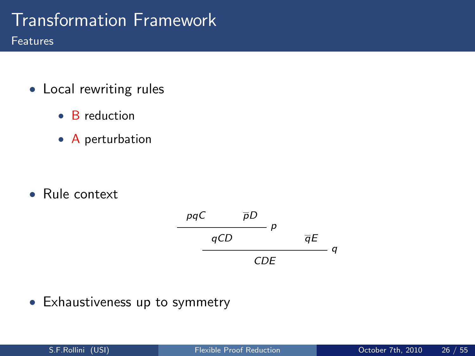Features

- Local rewriting rules
	- **B** reduction
	- A perturbation

• Rule context



• Exhaustiveness up to symmetry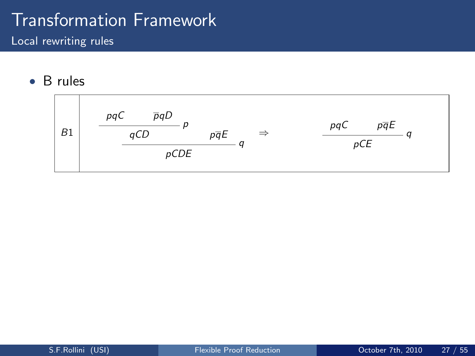Local rewriting rules

• B rules

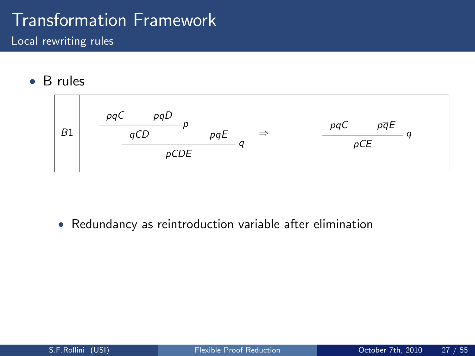Local rewriting rules

• B rules



• Redundancy as reintroduction variable after elimination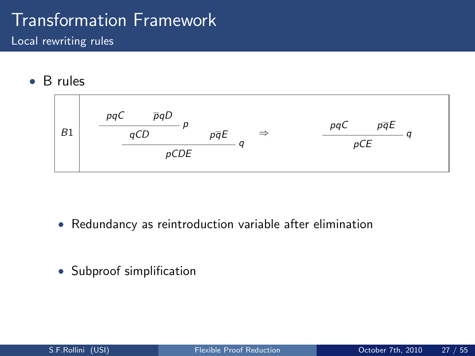Local rewriting rules

• B rules



- Redundancy as reintroduction variable after elimination
- Subproof simplification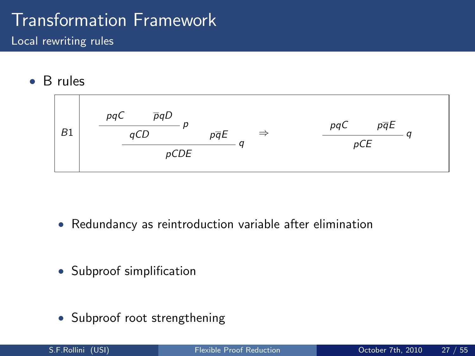Local rewriting rules

• B rules



- Redundancy as reintroduction variable after elimination
- Subproof simplification
- Subproof root strengthening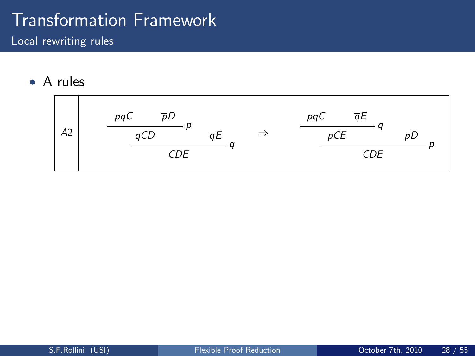Local rewriting rules

• A rules

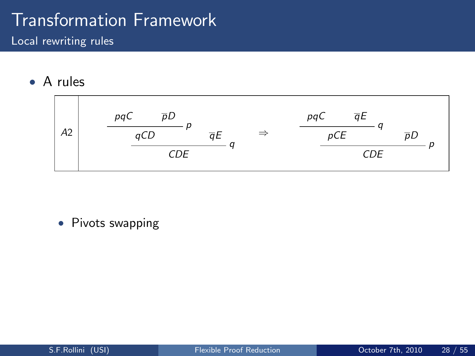Local rewriting rules

• A rules



• Pivots swapping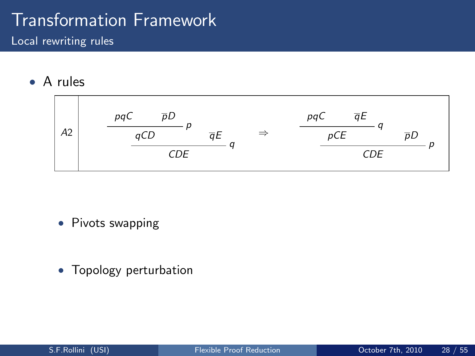Local rewriting rules

• A rules



- Pivots swapping
- Topology perturbation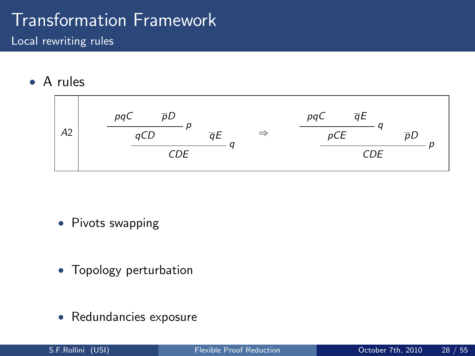Local rewriting rules

• A rules



- Pivots swapping
- Topology perturbation
- Redundancies exposure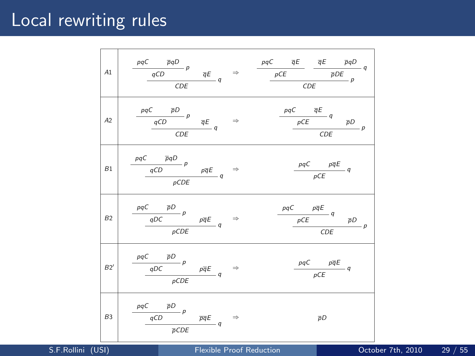## Local rewriting rules

| A1             | $pqC$ $\overline{p}qD$<br>$-\rho$<br>$rac{qCD}{CD}$ $\frac{p}{qE}$ $q \Rightarrow$                                                                 |  | $pqC \qquad \overline{q}E \qquad \overline{q}E \qquad \overline{p}qD$<br>$-q$<br>$pCE$ $\overline{pDE}$ $p$<br><b>CDE</b> |
|----------------|----------------------------------------------------------------------------------------------------------------------------------------------------|--|---------------------------------------------------------------------------------------------------------------------------|
| A <sub>2</sub> | $\begin{array}{ccc} \hline &pqc & \overline{p}D & \\ \hline & qCD & \overline{q}E & \\ \hline & CDE & q & \end{array} \hspace{0.25cm} \Rightarrow$ |  | $pqC \overline{q}E$<br>$\frac{pCE}{CDE}$<br>$\overline{p}D$                                                               |
| B1             | $pqC$ $\overline{p}qD$<br>$rac{pqC}{qCD}p$ $p\overline{qE}$ $q \Rightarrow$<br>pCDE                                                                |  | $\frac{\rho q C}{\rho \overline{q} E} q$<br>$\rho$ CE                                                                     |
| B2             | $pqC$ $\overline{p}D$<br>$\frac{\mu q c}{qDC} \frac{\rho}{\rho \overline{q}E} q \Rightarrow$<br>pCDE                                               |  | $pqC$ $p\overline{q}E$<br>$p \leftarrow q$ $p \leftarrow q$ $\overline{p}D$<br>$-\rho$<br>CDE                             |
| B2'            | $pqC$ $\qquad \overline{p}D$<br>$rac{\rho \rho c}{qDC}$ $\rho$ $\rho \overline{q}E$ $q \rightarrow$                                                |  | $\frac{\rho q C \qquad \rho \overline{q} E}{\rho C E} \ q$                                                                |
| B <sub>3</sub> | $\frac{\rho qC \qquad \overline{p}D}{qCD} p \qquad \qquad \overline{pq}E \qquad \Rightarrow$<br>$\overline{p}$ CDE                                 |  | $\overline{p}D$                                                                                                           |

S.F.Rollini (USI) [Flexible Proof Reduction](#page-0-0) Ctober 7th, 2010 29 / 55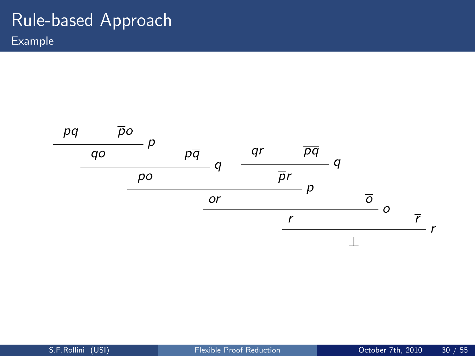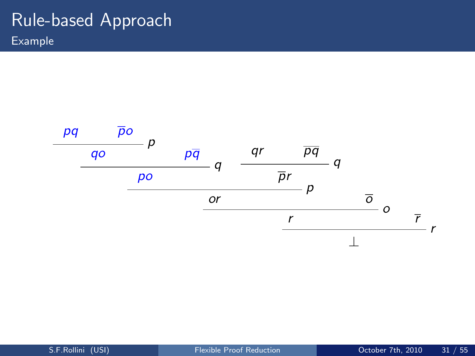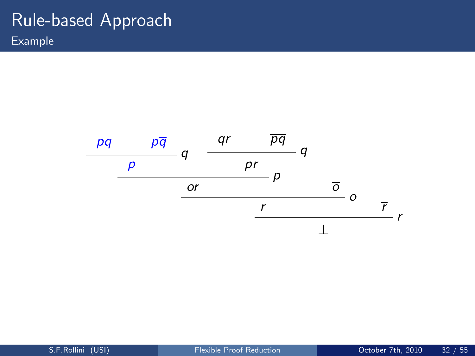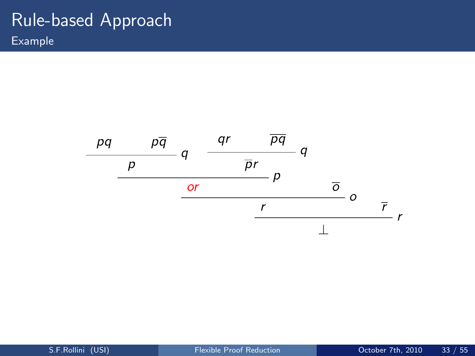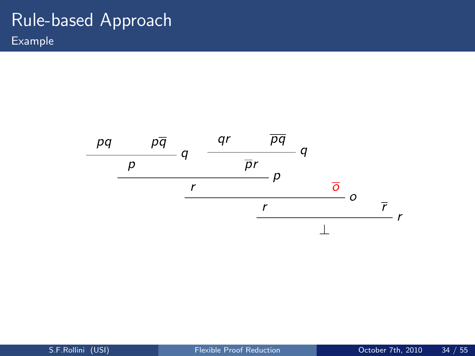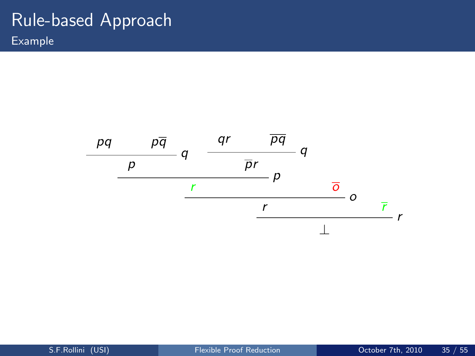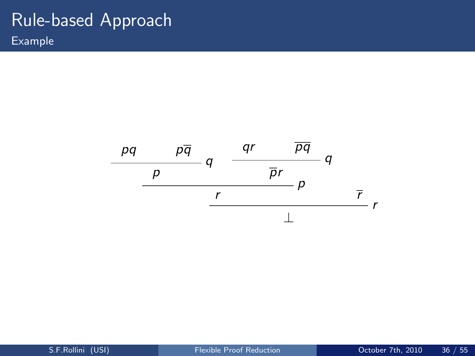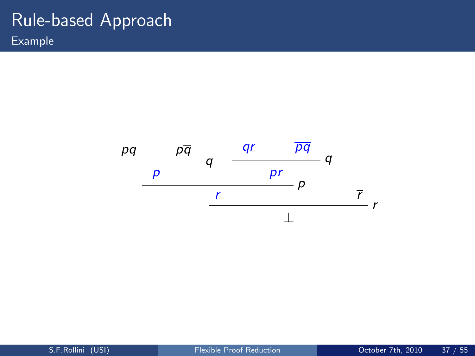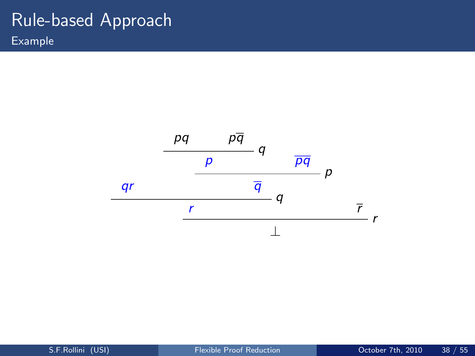### Rule-based Approach Example

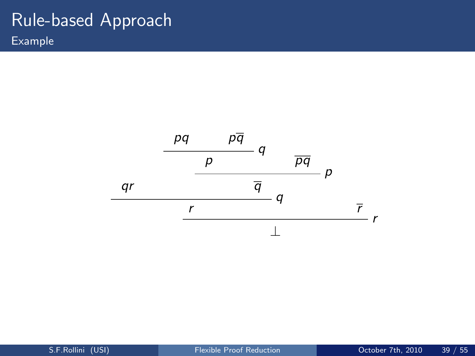### Rule-based Approach Example

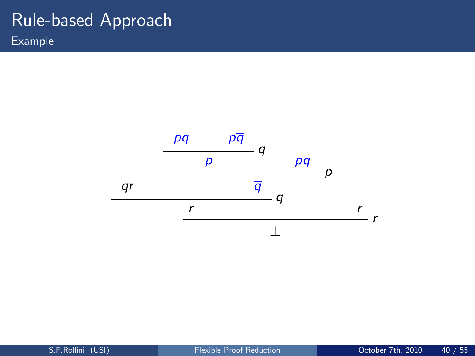### Rule-based Approach Example

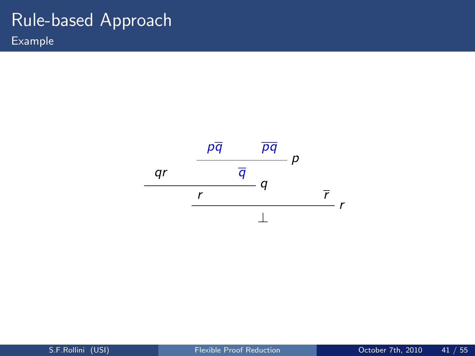# Rule-based Approach

Example

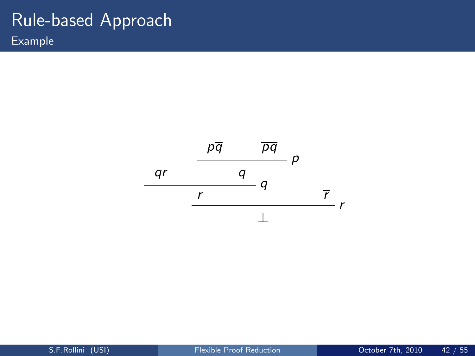# Rule-based Approach

Example

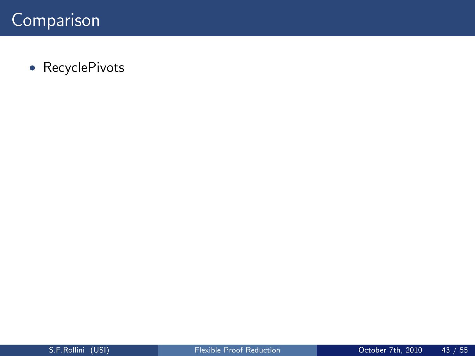### Comparison

• RecyclePivots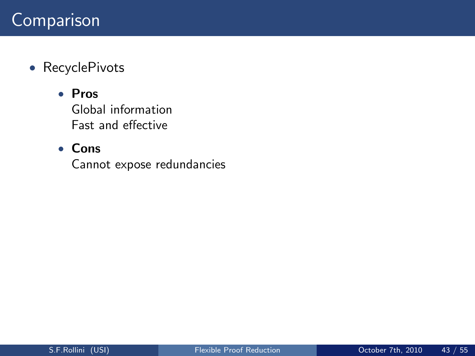#### • RecyclePivots

### • Pros Global information

Fast and effective

#### • Cons

Cannot expose redundancies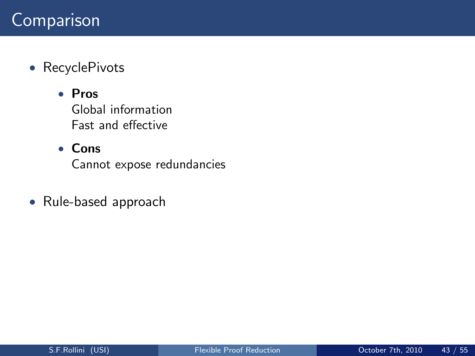- RecyclePivots
	- Pros Global information Fast and effective

#### • Cons

Cannot expose redundancies

• Rule-based approach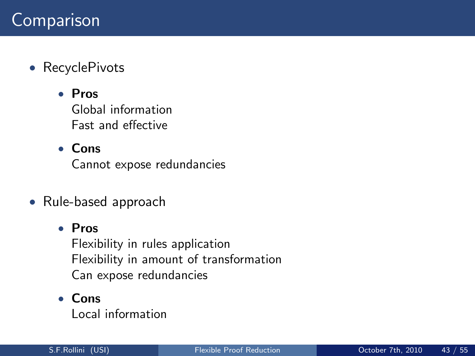- RecyclePivots
	- Pros Global information Fast and effective

#### • Cons

Cannot expose redundancies

• Rule-based approach

#### • Pros

Flexibility in rules application Flexibility in amount of transformation Can expose redundancies

#### • Cons

Local information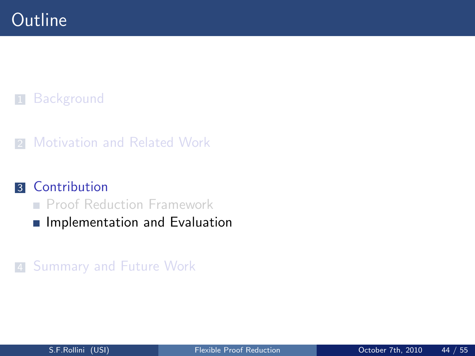### **1** [Background](#page-5-0)

2 [Motivation and Related Work](#page-23-0)

#### **3** [Contribution](#page-49-0)

- **[Proof Reduction Framework](#page-50-0)**
- <span id="page-81-0"></span>**[Implementation and Evaluation](#page-81-0)**

#### 4 [Summary and Future Work](#page-98-0)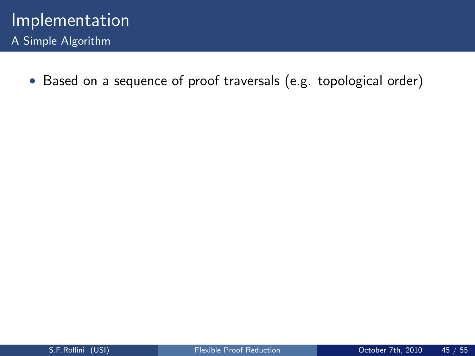• Based on a sequence of proof traversals (e.g. topological order)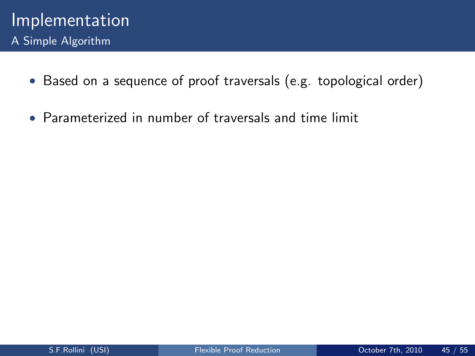- Based on a sequence of proof traversals (e.g. topological order)
- Parameterized in number of traversals and time limit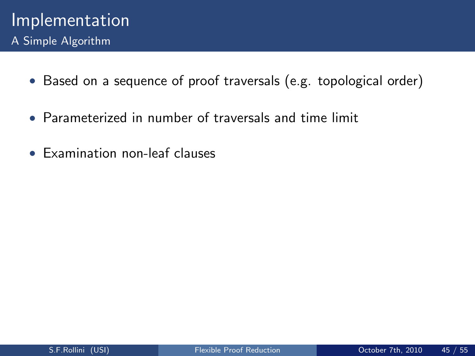- Based on a sequence of proof traversals (e.g. topological order)
- Parameterized in number of traversals and time limit
- Examination non-leaf clauses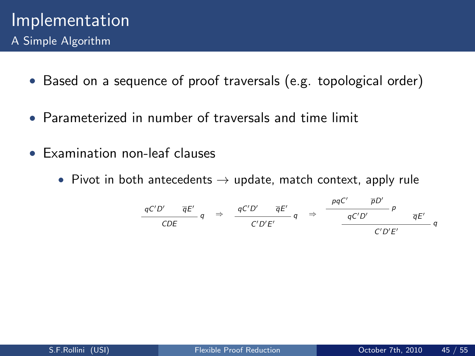- Based on a sequence of proof traversals (e.g. topological order)
- Parameterized in number of traversals and time limit
- Examination non-leaf clauses
	- Pivot in both antecedents  $\rightarrow$  update, match context, apply rule

$$
\frac{qC'D'}{CDE}q \Rightarrow \frac{qC'D'}{C'D'E'}q \Rightarrow \frac{pqC'}{qC'D'}\frac{\overline{p}D'}{qC'D'}p \frac{\overline{p}E'}{qE'}q
$$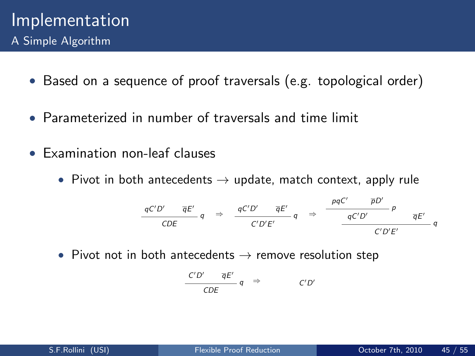- Based on a sequence of proof traversals (e.g. topological order)
- Parameterized in number of traversals and time limit
- Examination non-leaf clauses
	- Pivot in both antecedents  $\rightarrow$  update, match context, apply rule

$$
\frac{qC'D'}{CDE}q \Rightarrow \frac{qC'D'}{C'D'E'}q \Rightarrow \frac{pqC'}{qC'D'E'}q \Rightarrow \frac{pqC'}{qC'D'}\frac{pD'}{p}q
$$

• Pivot not in both antecedents  $\rightarrow$  remove resolution step

$$
\frac{C'D'}{CDE} q \Rightarrow C'D'
$$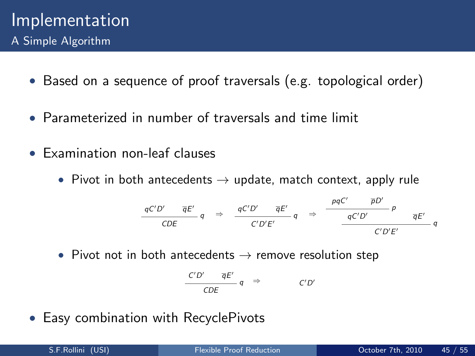- Based on a sequence of proof traversals (e.g. topological order)
- Parameterized in number of traversals and time limit
- Examination non-leaf clauses
	- Pivot in both antecedents  $\rightarrow$  update, match context, apply rule

$$
\frac{qC'D'}{CDE}q \Rightarrow \frac{qC'D'}{C'D'E'}q \Rightarrow \frac{pqC'}{qC'D'E'}q \Rightarrow \frac{pqC'}{qC'D'}\frac{pD'}{p}q
$$

• Pivot not in both antecedents  $\rightarrow$  remove resolution step

$$
\frac{C'D'}{CDE} q \Rightarrow C'D'
$$

• Easy combination with RecyclePivots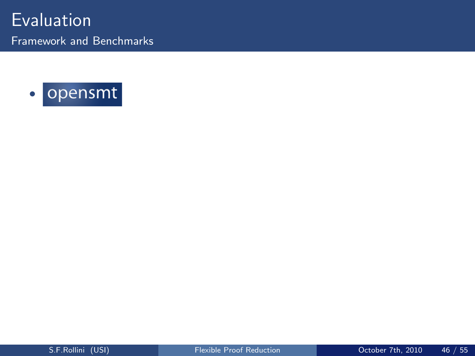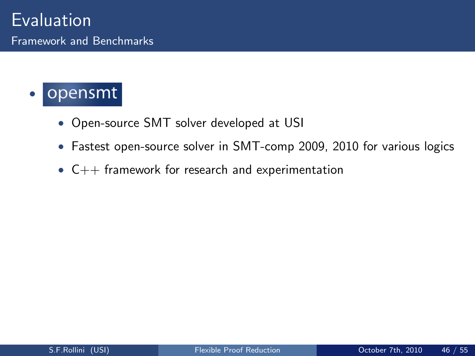### • opensmt

- Open-source SMT solver developed at USI
- Fastest open-source solver in SMT-comp 2009, 2010 for various logics
- $C++$  framework for research and experimentation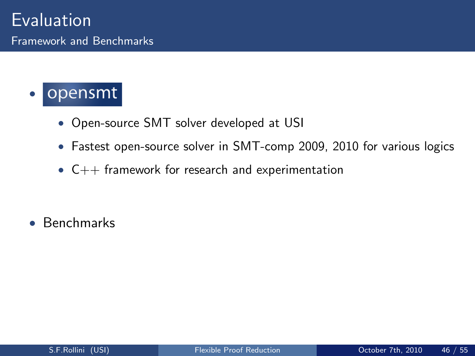### • opensmt

- Open-source SMT solver developed at USI
- Fastest open-source solver in SMT-comp 2009, 2010 for various logics
- $C++$  framework for research and experimentation

• Benchmarks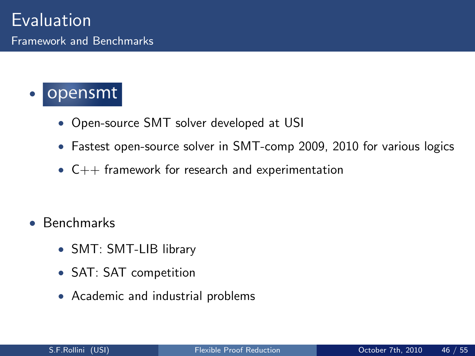### • opensmt

- Open-source SMT solver developed at USI
- Fastest open-source solver in SMT-comp 2009, 2010 for various logics
- C++ framework for research and experimentation

- Benchmarks
	- SMT: SMT-LIB library
	- SAT: SAT competition
	- Academic and industrial problems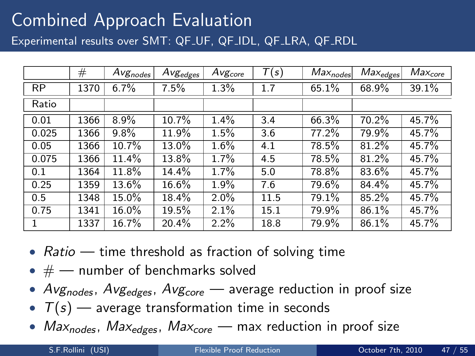Experimental results over SMT: QF UF, QF IDL, QF LRA, QF RDL

|           | #    | $Avg_{nodes}$ | $Avg_{edges}$ | $Avg_{core}$ | T(s) | $Max_{nodes}$ | $Max_{edges}$ | $Max_{core}$ |
|-----------|------|---------------|---------------|--------------|------|---------------|---------------|--------------|
| <b>RP</b> | 1370 | 6.7%          | 7.5%          | 1.3%         | 1.7  | 65.1%         | 68.9%         | 39.1%        |
| Ratio     |      |               |               |              |      |               |               |              |
| 0.01      | 1366 | 8.9%          | 10.7%         | $1.4\%$      | 3.4  | 66.3%         | 70.2%         | 45.7%        |
| 0.025     | 1366 | $9.8\%$       | 11.9%         | 1.5%         | 3.6  | 77.2%         | 79.9%         | 45.7%        |
| 0.05      | 1366 | 10.7%         | 13.0%         | $1.6\%$      | 4.1  | 78.5%         | 81.2%         | 45.7%        |
| 0.075     | 1366 | 11.4%         | 13.8%         | 1.7%         | 4.5  | 78.5%         | 81.2%         | 45.7%        |
| 0.1       | 1364 | 11.8%         | 14.4%         | 1.7%         | 5.0  | 78.8%         | 83.6%         | 45.7%        |
| 0.25      | 1359 | 13.6%         | 16.6%         | 1.9%         | 7.6  | 79.6%         | 84.4%         | 45.7%        |
| 0.5       | 1348 | 15.0%         | 18.4%         | $2.0\%$      | 11.5 | 79.1%         | 85.2%         | 45.7%        |
| 0.75      | 1341 | $16.0\%$      | 19.5%         | 2.1%         | 15.1 | 79.9%         | 86.1%         | 45.7%        |
| 1         | 1337 | 16.7%         | 20.4%         | 2.2%         | 18.8 | 79.9%         | 86.1%         | 45.7%        |

- Ratio  $-$  time threshold as fraction of solving time
- $\bullet \#$  number of benchmarks solved
- $Avg<sub>nodes</sub>$ ,  $Avg<sub>edges</sub>$ ,  $Avg<sub>core</sub>$  average reduction in proof size
- $T(s)$  average transformation time in seconds
- $Max_{nodes}$ ,  $Max_{edges}$ ,  $Max_{cores}$  max reduction in proof size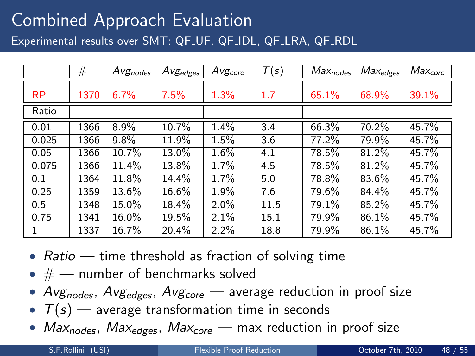Experimental results over SMT: QF UF, QF IDL, QF LRA, QF RDL

|           | #    | $Avg_{nodes}$ | $Avg_{edges}$ | $Avg_{core}$ | T(s) | $\bar{M}ax_{nodes}$ | $\bar{M}$ a $x_{edges}$ l | $\bar{M}$ a $x_{core}$ |
|-----------|------|---------------|---------------|--------------|------|---------------------|---------------------------|------------------------|
| <b>RP</b> | 1370 | 6.7%          | 7.5%          | 1.3%         | 1.7  | 65.1%               | 68.9%                     | 39.1%                  |
| Ratio     |      |               |               |              |      |                     |                           |                        |
| 0.01      | 1366 | $8.9\%$       | 10.7%         | 1.4%         | 3.4  | 66.3%               | 70.2%                     | 45.7%                  |
| 0.025     | 1366 | 9.8%          | 11.9%         | 1.5%         | 3.6  | 77.2%               | 79.9%                     | 45.7%                  |
| 0.05      | 1366 | 10.7%         | 13.0%         | $1.6\%$      | 4.1  | 78.5%               | 81.2%                     | 45.7%                  |
| 0.075     | 1366 | 11.4%         | 13.8%         | 1.7%         | 4.5  | 78.5%               | 81.2%                     | 45.7%                  |
| 0.1       | 1364 | 11.8%         | 14.4%         | 1.7%         | 5.0  | 78.8%               | 83.6%                     | 45.7%                  |
| 0.25      | 1359 | 13.6%         | 16.6%         | 1.9%         | 7.6  | 79.6%               | 84.4%                     | 45.7%                  |
| 0.5       | 1348 | 15.0%         | 18.4%         | 2.0%         | 11.5 | 79.1%               | 85.2%                     | 45.7%                  |
| 0.75      | 1341 | 16.0%         | 19.5%         | 2.1%         | 15.1 | 79.9%               | 86.1%                     | 45.7%                  |
| 1         | 1337 | 16.7%         | 20.4%         | 2.2%         | 18.8 | 79.9%               | 86.1%                     | 45.7%                  |

- Ratio time threshold as fraction of solving time
- $\bullet \#$  number of benchmarks solved
- $Avg<sub>nodes</sub>$ ,  $Avg<sub>edges</sub>$ ,  $Avg<sub>core</sub>$  average reduction in proof size
- $T(s)$  average transformation time in seconds
- $Max_{nodes}$ ,  $Max_{edges}$ ,  $Max_{core}$  max reduction in proof size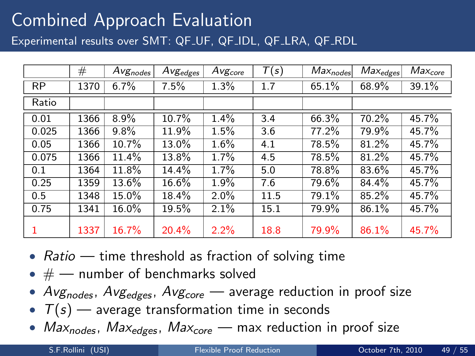Experimental results over SMT: QF UF, QF IDL, QF LRA, QF RDL

|           | #    | $Avg_{nodes}$ | $Avg_{edges}$ | $Avg_{core}$ | T(s) | $\bar{M}ax_{nodes}$ | $\bar{M}$ a $x_{edges}$ | $\bar{M}$ a $x_{core}$ |
|-----------|------|---------------|---------------|--------------|------|---------------------|-------------------------|------------------------|
| <b>RP</b> | 1370 | 6.7%          | 7.5%          | 1.3%         | 1.7  | 65.1%               | 68.9%                   | 39.1%                  |
| Ratio     |      |               |               |              |      |                     |                         |                        |
| 0.01      | 1366 | $8.9\%$       | 10.7%         | 1.4%         | 3.4  | 66.3%               | 70.2%                   | 45.7%                  |
| 0.025     | 1366 | 9.8%          | 11.9%         | 1.5%         | 3.6  | 77.2%               | 79.9%                   | 45.7%                  |
| 0.05      | 1366 | $10.7\%$      | 13.0%         | $1.6\%$      | 4.1  | 78.5%               | 81.2%                   | 45.7%                  |
| 0.075     | 1366 | 11.4%         | 13.8%         | 1.7%         | 4.5  | 78.5%               | 81.2%                   | 45.7%                  |
| 0.1       | 1364 | 11.8%         | 14.4%         | 1.7%         | 5.0  | 78.8%               | 83.6%                   | 45.7%                  |
| 0.25      | 1359 | 13.6%         | 16.6%         | 1.9%         | 7.6  | 79.6%               | 84.4%                   | 45.7%                  |
| 0.5       | 1348 | 15.0%         | 18.4%         | $2.0\%$      | 11.5 | 79.1%               | 85.2%                   | 45.7%                  |
| 0.75      | 1341 | $16.0\%$      | 19.5%         | 2.1%         | 15.1 | 79.9%               | 86.1%                   | 45.7%                  |
| 1         | 1337 | 16.7%         | 20.4%         | 2.2%         | 18.8 | 79.9%               | 86.1%                   | 45.7%                  |

- Ratio time threshold as fraction of solving time
- $\bullet \#$  number of benchmarks solved
- $Avg<sub>nodes</sub>$ ,  $Avg<sub>edges</sub>$ ,  $Avg<sub>core</sub>$  average reduction in proof size
- $T(s)$  average transformation time in seconds
- $Max_{nodes}$ ,  $Max_{edges}$ ,  $Max_{core}$  max reduction in proof size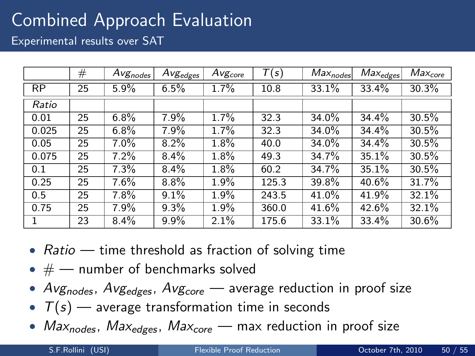Experimental results over SAT

|           | #  | $Avg_{nodes}$ | $Avg_{edges}$ | $Avg_{core}$ | T(s)  | $\bar{M}$ a $x_{nodes}$ | $\bar{M}$ a $x_{edges}$ l | $\bar{M}$ a $x_{core}$ |
|-----------|----|---------------|---------------|--------------|-------|-------------------------|---------------------------|------------------------|
| <b>RP</b> | 25 | 5.9%          | 6.5%          | 1.7%         | 10.8  | 33.1%                   | 33.4%                     | 30.3%                  |
| Ratio     |    |               |               |              |       |                         |                           |                        |
| 0.01      | 25 | 6.8%          | 7.9%          | 1.7%         | 32.3  | 34.0%                   | 34.4%                     | 30.5%                  |
| 0.025     | 25 | 6.8%          | 7.9%          | 1.7%         | 32.3  | 34.0%                   | 34.4%                     | 30.5%                  |
| 0.05      | 25 | $7.0\%$       | $8.2\%$       | 1.8%         | 40.0  | 34.0%                   | 34.4%                     | 30.5%                  |
| 0.075     | 25 | 7.2%          | $8.4\%$       | 1.8%         | 49.3  | 34.7%                   | 35.1%                     | 30.5%                  |
| 0.1       | 25 | $7.3\%$       | $8.4\%$       | 1.8%         | 60.2  | 34.7%                   | 35.1%                     | 30.5%                  |
| 0.25      | 25 | $7.6\%$       | $8.8\%$       | 1.9%         | 125.3 | 39.8%                   | 40.6%                     | 31.7%                  |
| 0.5       | 25 | 7.8%          | $9.1\%$       | 1.9%         | 243.5 | 41.0%                   | 41.9%                     | 32.1%                  |
| 0.75      | 25 | $7.9\%$       | $9.3\%$       | 1.9%         | 360.0 | 41.6%                   | 42.6%                     | 32.1%                  |
| 1         | 23 | 8.4%          | $9.9\%$       | 2.1%         | 175.6 | 33.1%                   | 33.4%                     | 30.6%                  |

- Ratio time threshold as fraction of solving time
- $\bullet \#$  number of benchmarks solved
- $Avg<sub>nodes</sub>$ ,  $Avg<sub>edges</sub>$ ,  $Avg<sub>cores</sub>$  average reduction in proof size
- $T(s)$  average transformation time in seconds
- $Max_{nodes}$ ,  $Max_{edges}$ ,  $Max_{cores}$  max reduction in proof size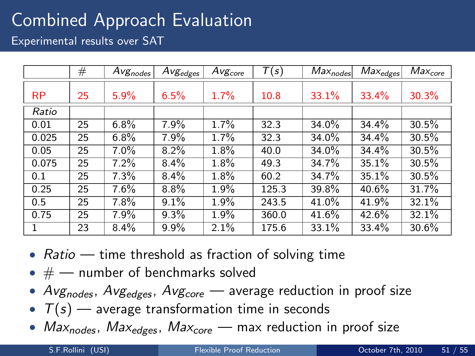Experimental results over SAT

|           | #  | $Avg$ <sub>nodes</sub> | $Avg_{edges}$ | $Avg_{core}$ | T(s)  | $Max_{nodes}$ | $Max_{edges}$ | $Max_{core}$ |
|-----------|----|------------------------|---------------|--------------|-------|---------------|---------------|--------------|
| <b>RP</b> | 25 | 5.9%                   | 6.5%          | $1.7\%$      | 10.8  | 33.1%         | 33.4%         | 30.3%        |
| Ratio     |    |                        |               |              |       |               |               |              |
| 0.01      | 25 | $6.8\%$                | 7.9%          | 1.7%         | 32.3  | 34.0%         | 34.4%         | 30.5%        |
| 0.025     | 25 | $6.8\%$                | 7.9%          | 1.7%         | 32.3  | 34.0%         | 34.4%         | 30.5%        |
| 0.05      | 25 | $7.0\%$                | $8.2\%$       | 1.8%         | 40.0  | 34.0%         | 34.4%         | 30.5%        |
| 0.075     | 25 | $7.2\%$                | $8.4\%$       | 1.8%         | 49.3  | 34.7%         | 35.1%         | 30.5%        |
| 0.1       | 25 | $7.3\%$                | $8.4\%$       | 1.8%         | 60.2  | 34.7%         | 35.1%         | 30.5%        |
| 0.25      | 25 | $7.6\%$                | $8.8\%$       | 1.9%         | 125.3 | 39.8%         | 40.6%         | 31.7%        |
| 0.5       | 25 | 7.8%                   | 9.1%          | 1.9%         | 243.5 | 41.0%         | 41.9%         | 32.1%        |
| 0.75      | 25 | 7.9%                   | $9.3\%$       | 1.9%         | 360.0 | 41.6%         | 42.6%         | 32.1%        |
| 1         | 23 | 8.4%                   | $9.9\%$       | 2.1%         | 175.6 | 33.1%         | 33.4%         | 30.6%        |

- Ratio  $-$  time threshold as fraction of solving time
- $\bullet \#$  number of benchmarks solved
- $Avg<sub>nodes</sub>$ ,  $Avg<sub>edges</sub>$ ,  $Avg<sub>core</sub>$  average reduction in proof size
- $T(s)$  average transformation time in seconds
- $Max_{nodes}$ ,  $Max_{edges}$ ,  $Max_{cores}$  max reduction in proof size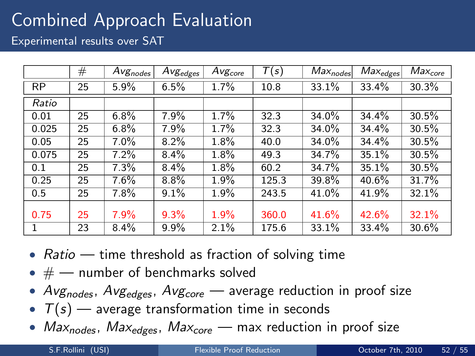Experimental results over SAT

|           | #  | $Avg$ <sub>nodes</sub> | $Avg_{edges}$ | $Avg_{core}$ | T(s)  | $Max_{nodes}$ | $Max_{edges}$ | $Max_{core}$ |
|-----------|----|------------------------|---------------|--------------|-------|---------------|---------------|--------------|
| <b>RP</b> | 25 | $5.9\%$                | 6.5%          | 1.7%         | 10.8  | 33.1%         | 33.4%         | 30.3%        |
| Ratio     |    |                        |               |              |       |               |               |              |
| 0.01      | 25 | 6.8%                   | 7.9%          | 1.7%         | 32.3  | 34.0%         | 34.4%         | 30.5%        |
| 0.025     | 25 | $6.8\%$                | 7.9%          | 1.7%         | 32.3  | 34.0%         | 34.4%         | 30.5%        |
| 0.05      | 25 | $7.0\%$                | $8.2\%$       | 1.8%         | 40.0  | 34.0%         | 34.4%         | 30.5%        |
| 0.075     | 25 | 7.2%                   | $8.4\%$       | 1.8%         | 49.3  | 34.7%         | 35.1%         | 30.5%        |
| 0.1       | 25 | 7.3%                   | 8.4%          | 1.8%         | 60.2  | 34.7%         | 35.1%         | 30.5%        |
| 0.25      | 25 | 7.6%                   | 8.8%          | 1.9%         | 125.3 | 39.8%         | 40.6%         | 31.7%        |
| 0.5       | 25 | $7.8\%$                | 9.1%          | 1.9%         | 243.5 | 41.0%         | 41.9%         | 32.1%        |
|           |    |                        |               |              |       |               |               |              |
| 0.75      | 25 | 7.9%                   | 9.3%          | 1.9%         | 360.0 | 41.6%         | 42.6%         | 32.1%        |
| 1         | 23 | 8.4%                   | $9.9\%$       | 2.1%         | 175.6 | 33.1%         | 33.4%         | 30.6%        |

- Ratio  $-$  time threshold as fraction of solving time
- $\bullet \#$  number of benchmarks solved
- $Avg<sub>nodes</sub>$ ,  $Avg<sub>edges</sub>$ ,  $Avg<sub>core</sub>$  average reduction in proof size
- $T(s)$  average transformation time in seconds
- $Max_{nodes}$ ,  $Max_{edges}$ ,  $Max_{cores}$  max reduction in proof size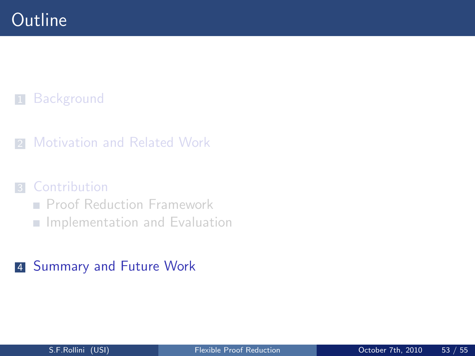### **1** [Background](#page-5-0)

### 2 [Motivation and Related Work](#page-23-0)

#### **3** [Contribution](#page-49-0)

- **[Proof Reduction Framework](#page-50-0)**
- <span id="page-98-0"></span>**[Implementation and Evaluation](#page-81-0)**

### 4 [Summary and Future Work](#page-98-0)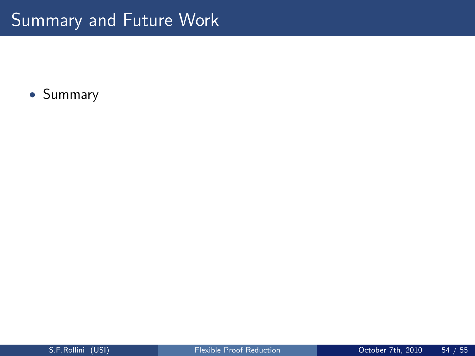• Summary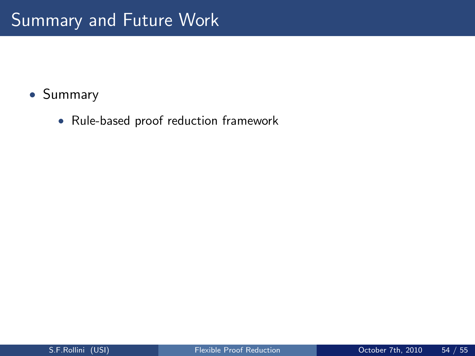### • Summary

• Rule-based proof reduction framework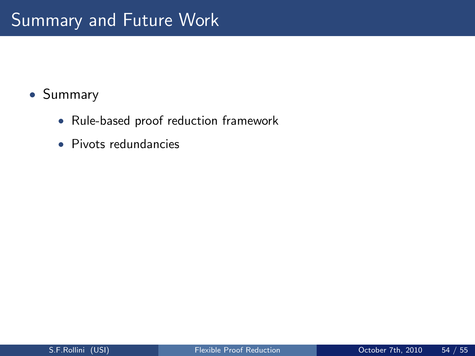#### • Summary

- Rule-based proof reduction framework
- Pivots redundancies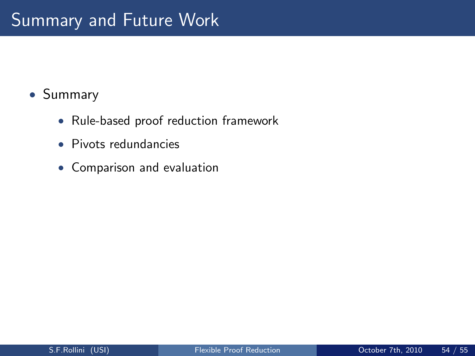#### • Summary

- Rule-based proof reduction framework
- Pivots redundancies
- Comparison and evaluation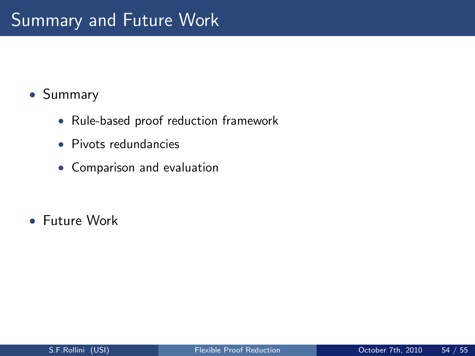#### • Summary

- Rule-based proof reduction framework
- Pivots redundancies
- Comparison and evaluation

• Future Work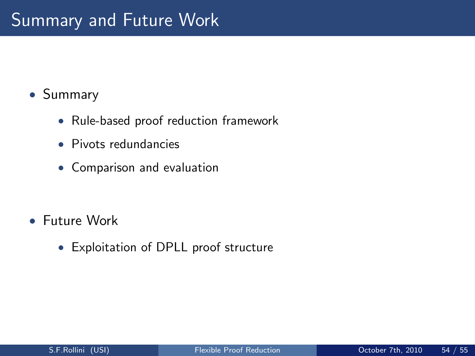#### • Summary

- Rule-based proof reduction framework
- Pivots redundancies
- Comparison and evaluation

- Future Work
	- Exploitation of DPLL proof structure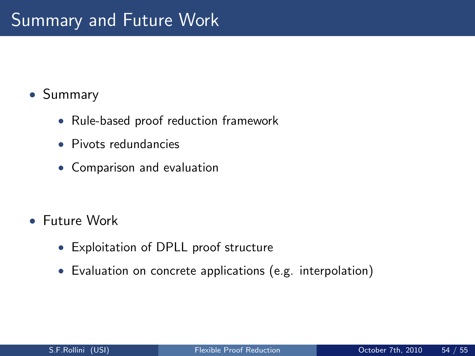#### • Summary

- Rule-based proof reduction framework
- Pivots redundancies
- Comparison and evaluation

- Future Work
	- Exploitation of DPLL proof structure
	- Evaluation on concrete applications (e.g. interpolation)